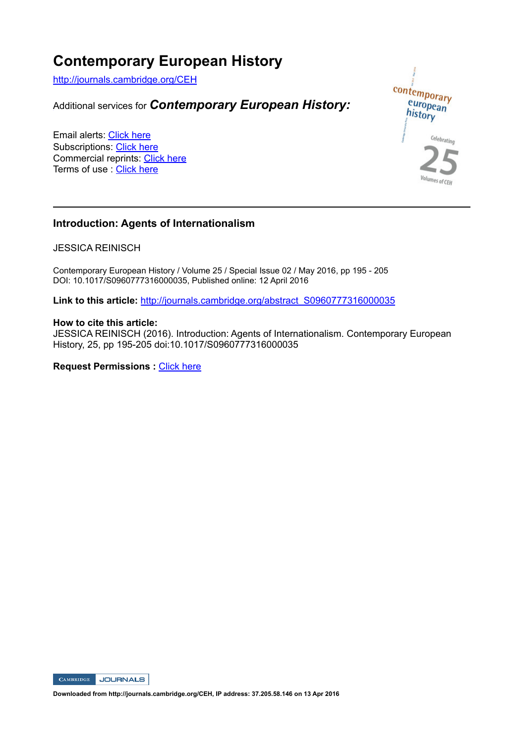## **Contemporary European History**

http://journals.cambridge.org/CEH

Additional services for *Contemporary European History:*

Email alerts: Click here Subscriptions: Click here Commercial reprints: Click here Terms of use : Click here



### **Introduction: Agents of Internationalism**

JESSICA REINISCH

Contemporary European History / Volume 25 / Special Issue 02 / May 2016, pp 195 - 205 DOI: 10.1017/S0960777316000035, Published online: 12 April 2016

**Link to this article:** http://journals.cambridge.org/abstract\_S0960777316000035

#### **How to cite this article:**

JESSICA REINISCH (2016). Introduction: Agents of Internationalism. Contemporary European History, 25, pp 195-205 doi:10.1017/S0960777316000035

**Request Permissions : Click here** 



**Downloaded from http://journals.cambridge.org/CEH, IP address: 37.205.58.146 on 13 Apr 2016**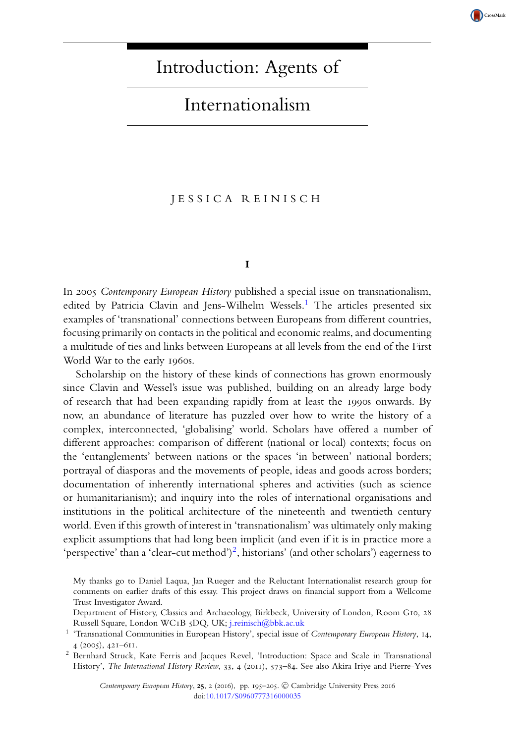# Introduction: Agents of

CrossMark

# Internationalism

### JESSICA REINISCH

#### **I**

In 2005 *Contemporary European History* published a special issue on transnationalism, edited by Patricia Clavin and Jens-Wilhelm Wessels.<sup>1</sup> The articles presented six examples of 'transnational' connections between Europeans from different countries, focusing primarily on contacts in the political and economic realms, and documenting a multitude of ties and links between Europeans at all levels from the end of the First World War to the early 1960s.

Scholarship on the history of these kinds of connections has grown enormously since Clavin and Wessel's issue was published, building on an already large body of research that had been expanding rapidly from at least the 1990s onwards. By now, an abundance of literature has puzzled over how to write the history of a complex, interconnected, 'globalising' world. Scholars have offered a number of different approaches: comparison of different (national or local) contexts; focus on the 'entanglements' between nations or the spaces 'in between' national borders; portrayal of diasporas and the movements of people, ideas and goods across borders; documentation of inherently international spheres and activities (such as science or humanitarianism); and inquiry into the roles of international organisations and institutions in the political architecture of the nineteenth and twentieth century world. Even if this growth of interest in 'transnationalism' was ultimately only making explicit assumptions that had long been implicit (and even if it is in practice more a 'perspective' than a 'clear-cut method')<sup>2</sup>, historians' (and other scholars') eagerness to

My thanks go to Daniel Laqua, Jan Rueger and the Reluctant Internationalist research group for comments on earlier drafts of this essay. This project draws on financial support from a Wellcome Trust Investigator Award.

Department of History, Classics and Archaeology, Birkbeck, University of London, Room G10, 28 Russell Square, London WC1B 5DQ, UK; [j.reinisch@bbk.ac.uk](mailto:j.reinisch@bbk.ac.uk)

<sup>1</sup> 'Transnational Communities in European History', special issue of *Contemporary European History*, 14, 4 (2005), 421–611.

<sup>2</sup> Bernhard Struck, Kate Ferris and Jacques Revel, 'Introduction: Space and Scale in Transnational History', *The International History Review*, 33, 4 (2011), 573–84. See also Akira Iriye and Pierre-Yves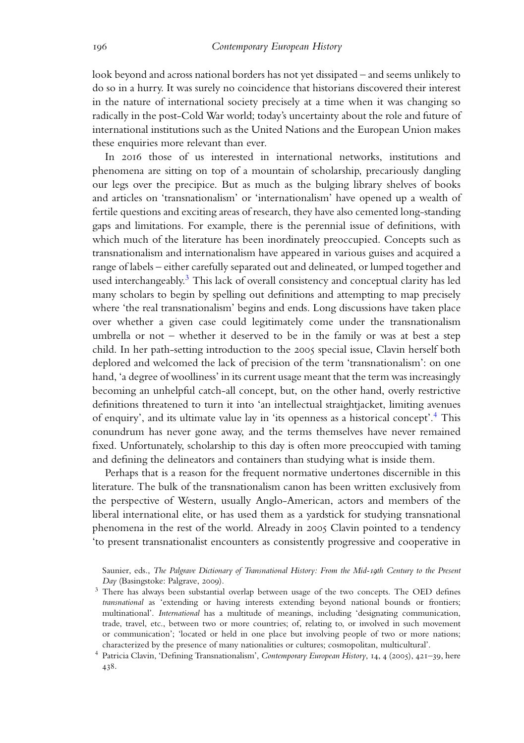look beyond and across national borders has not yet dissipated – and seems unlikely to do so in a hurry. It was surely no coincidence that historians discovered their interest in the nature of international society precisely at a time when it was changing so radically in the post-Cold War world; today's uncertainty about the role and future of international institutions such as the United Nations and the European Union makes these enquiries more relevant than ever.

In 2016 those of us interested in international networks, institutions and phenomena are sitting on top of a mountain of scholarship, precariously dangling our legs over the precipice. But as much as the bulging library shelves of books and articles on 'transnationalism' or 'internationalism' have opened up a wealth of fertile questions and exciting areas of research, they have also cemented long-standing gaps and limitations. For example, there is the perennial issue of definitions, with which much of the literature has been inordinately preoccupied. Concepts such as transnationalism and internationalism have appeared in various guises and acquired a range of labels – either carefully separated out and delineated, or lumped together and used interchangeably.<sup>3</sup> This lack of overall consistency and conceptual clarity has led many scholars to begin by spelling out definitions and attempting to map precisely where 'the real transnationalism' begins and ends. Long discussions have taken place over whether a given case could legitimately come under the transnationalism umbrella or not – whether it deserved to be in the family or was at best a step child. In her path-setting introduction to the 2005 special issue, Clavin herself both deplored and welcomed the lack of precision of the term 'transnationalism': on one hand, 'a degree of woolliness' in its current usage meant that the term was increasingly becoming an unhelpful catch-all concept, but, on the other hand, overly restrictive definitions threatened to turn it into 'an intellectual straightjacket, limiting avenues of enquiry', and its ultimate value lay in 'its openness as a historical concept'.4 This conundrum has never gone away, and the terms themselves have never remained fixed. Unfortunately, scholarship to this day is often more preoccupied with taming and defining the delineators and containers than studying what is inside them.

Perhaps that is a reason for the frequent normative undertones discernible in this literature. The bulk of the transnationalism canon has been written exclusively from the perspective of Western, usually Anglo-American, actors and members of the liberal international elite, or has used them as a yardstick for studying transnational phenomena in the rest of the world. Already in 2005 Clavin pointed to a tendency 'to present transnationalist encounters as consistently progressive and cooperative in

Saunier, eds., *The Palgrave Dictionary of Transnational History: From the Mid-19th Century to the Present Day* (Basingstoke: Palgrave, 2009).

<sup>3</sup> There has always been substantial overlap between usage of the two concepts. The OED defines *transnational* as 'extending or having interests extending beyond national bounds or frontiers; multinational'. *International* has a multitude of meanings, including 'designating communication, trade, travel, etc., between two or more countries; of, relating to, or involved in such movement or communication'; 'located or held in one place but involving people of two or more nations; characterized by the presence of many nationalities or cultures; cosmopolitan, multicultural'.

<sup>4</sup> Patricia Clavin, 'Defining Transnationalism', *Contemporary European History*, 14, 4 (2005), 421–39, here 438.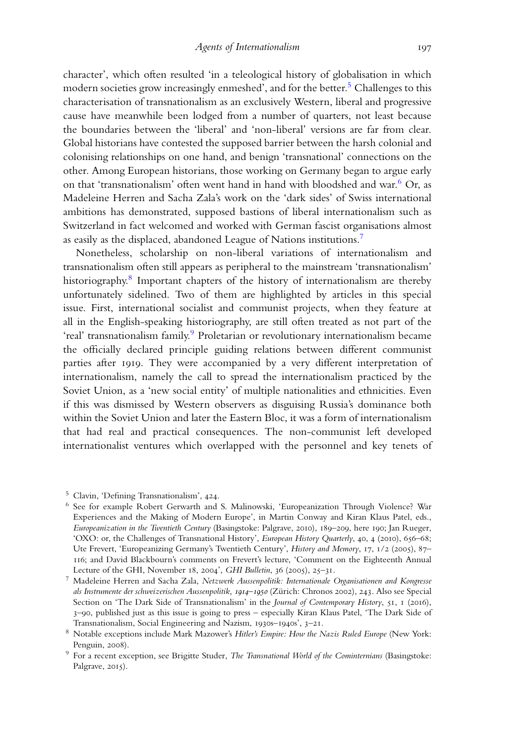character', which often resulted 'in a teleological history of globalisation in which modern societies grow increasingly enmeshed', and for the better.<sup>5</sup> Challenges to this characterisation of transnationalism as an exclusively Western, liberal and progressive cause have meanwhile been lodged from a number of quarters, not least because the boundaries between the 'liberal' and 'non-liberal' versions are far from clear. Global historians have contested the supposed barrier between the harsh colonial and colonising relationships on one hand, and benign 'transnational' connections on the other. Among European historians, those working on Germany began to argue early on that 'transnationalism' often went hand in hand with bloodshed and war.<sup>6</sup> Or, as Madeleine Herren and Sacha Zala's work on the 'dark sides' of Swiss international ambitions has demonstrated, supposed bastions of liberal internationalism such as Switzerland in fact welcomed and worked with German fascist organisations almost as easily as the displaced, abandoned League of Nations institutions.7

Nonetheless, scholarship on non-liberal variations of internationalism and transnationalism often still appears as peripheral to the mainstream 'transnationalism' historiography.<sup>8</sup> Important chapters of the history of internationalism are thereby unfortunately sidelined. Two of them are highlighted by articles in this special issue. First, international socialist and communist projects, when they feature at all in the English-speaking historiography, are still often treated as not part of the 'real' transnationalism family.<sup>9</sup> Proletarian or revolutionary internationalism became the officially declared principle guiding relations between different communist parties after 1919. They were accompanied by a very different interpretation of internationalism, namely the call to spread the internationalism practiced by the Soviet Union, as a 'new social entity' of multiple nationalities and ethnicities. Even if this was dismissed by Western observers as disguising Russia's dominance both within the Soviet Union and later the Eastern Bloc, it was a form of internationalism that had real and practical consequences. The non-communist left developed internationalist ventures which overlapped with the personnel and key tenets of

<sup>5</sup> Clavin, 'Defining Transnationalism', 424.

<sup>6</sup> See for example Robert Gerwarth and S. Malinowski, 'Europeanization Through Violence? War Experiences and the Making of Modern Europe', in Martin Conway and Kiran Klaus Patel, eds., *Europeanization in the Twentieth Century* (Basingstoke: Palgrave, 2010), 189–209, here 190; Jan Rueger, 'OXO: or, the Challenges of Transnational History', *European History Quarterly*, 40, 4 (2010), 656–68; Ute Frevert, 'Europeanizing Germany's Twentieth Century', *History and Memory*, 17, 1/2 (2005), 87– 116; and David Blackbourn's comments on Frevert's lecture, 'Comment on the Eighteenth Annual Lecture of the GHI, November 18, 2004', *GHI Bulletin*, 36 (2005), 25–31.

<sup>7</sup> Madeleine Herren and Sacha Zala, *Netzwerk Aussenpolitik: Internationale Organisationen and Kongresse als Instrumente der schweizerischen Aussenpolitik, 1914–1950* (Zürich: Chronos 2002), 243. Also see Special Section on 'The Dark Side of Transnationalism' in the *Journal of Contemporary History*, 51, 1 (2016), 3–90, published just as this issue is going to press – especially Kiran Klaus Patel, 'The Dark Side of Transnationalism, Social Engineering and Nazism, 1930s–1940s', 3–21.

<sup>8</sup> Notable exceptions include Mark Mazower's *Hitler's Empire: How the Nazis Ruled Europe* (New York: Penguin, 2008).

<sup>&</sup>lt;sup>9</sup> For a recent exception, see Brigitte Studer, *The Transnational World of the Cominternians* (Basingstoke: Palgrave, 2015).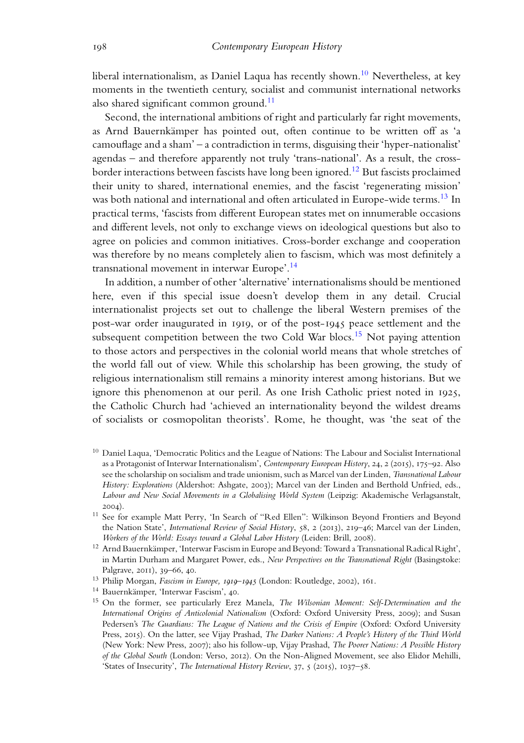liberal internationalism, as Daniel Laqua has recently shown.<sup>10</sup> Nevertheless, at key moments in the twentieth century, socialist and communist international networks also shared significant common ground. $11$ 

Second, the international ambitions of right and particularly far right movements, as Arnd Bauernkämper has pointed out, often continue to be written off as 'a camouflage and a sham' – a contradiction in terms, disguising their 'hyper-nationalist' agendas – and therefore apparently not truly 'trans-national'. As a result, the crossborder interactions between fascists have long been ignored.<sup>12</sup> But fascists proclaimed their unity to shared, international enemies, and the fascist 'regenerating mission' was both national and international and often articulated in Europe-wide terms.<sup>13</sup> In practical terms, 'fascists from different European states met on innumerable occasions and different levels, not only to exchange views on ideological questions but also to agree on policies and common initiatives. Cross-border exchange and cooperation was therefore by no means completely alien to fascism, which was most definitely a transnational movement in interwar Europe'.<sup>14</sup>

In addition, a number of other 'alternative' internationalisms should be mentioned here, even if this special issue doesn't develop them in any detail. Crucial internationalist projects set out to challenge the liberal Western premises of the post-war order inaugurated in 1919, or of the post-1945 peace settlement and the subsequent competition between the two Cold War blocs.<sup>15</sup> Not paying attention to those actors and perspectives in the colonial world means that whole stretches of the world fall out of view. While this scholarship has been growing, the study of religious internationalism still remains a minority interest among historians. But we ignore this phenomenon at our peril. As one Irish Catholic priest noted in 1925, the Catholic Church had 'achieved an internationality beyond the wildest dreams of socialists or cosmopolitan theorists'. Rome, he thought, was 'the seat of the

- <sup>10</sup> Daniel Laqua, 'Democratic Politics and the League of Nations: The Labour and Socialist International as a Protagonist of Interwar Internationalism', *Contemporary European History*, 24, 2 (2015), 175–92. Also see the scholarship on socialism and trade unionism, such as Marcel van der Linden, *Transnational Labour History: Explorations* (Aldershot: Ashgate, 2003); Marcel van der Linden and Berthold Unfried, eds., *Labour and New Social Movements in a Globalising World System* (Leipzig: Akademische Verlagsanstalt, 2004).
- <sup>11</sup> See for example Matt Perry, 'In Search of "Red Ellen": Wilkinson Beyond Frontiers and Beyond the Nation State', *International Review of Social History*, 58, 2 (2013), 219–46; Marcel van der Linden, *Workers of the World: Essays toward a Global Labor History* (Leiden: Brill, 2008).

<sup>12</sup> Arnd Bauernkämper, 'Interwar Fascism in Europe and Beyond: Toward a Transnational Radical Right', in Martin Durham and Margaret Power, eds., *New Perspectives on the Transnational Right* (Basingstoke: Palgrave, 2011), 39–66, 40.

- <sup>13</sup> Philip Morgan, *Fascism in Europe, 1919–1945* (London: Routledge, 2002), 161.
- <sup>14</sup> Bauernkämper, 'Interwar Fascism', 40.

<sup>15</sup> On the former, see particularly Erez Manela, *The Wilsonian Moment: Self-Determination and the International Origins of Anticolonial Nationalism* (Oxford: Oxford University Press, 2009); and Susan Pedersen's *The Guardians: The League of Nations and the Crisis of Empire* (Oxford: Oxford University Press, 2015). On the latter, see Vijay Prashad, *The Darker Nations: A People's History of the Third World* (New York: New Press, 2007); also his follow-up, Vijay Prashad, *The Poorer Nations: A Possible History of the Global South* (London: Verso, 2012). On the Non-Aligned Movement, see also Elidor Mehilli, 'States of Insecurity', *The International History Review*, 37, 5 (2015), 1037–58.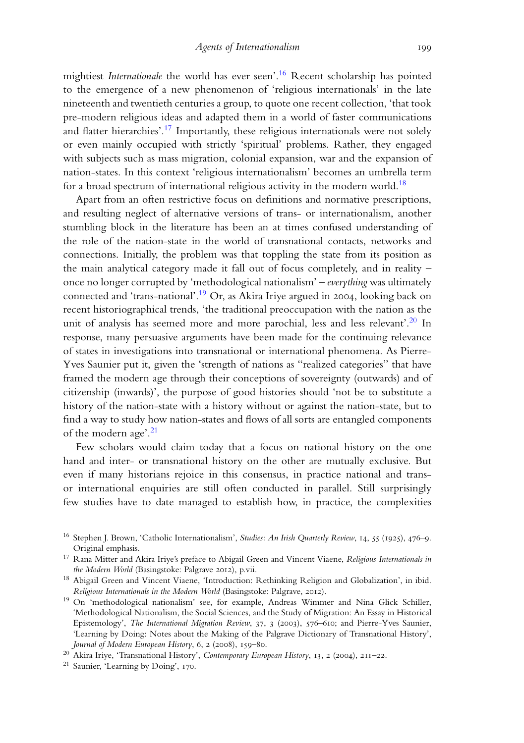mightiest *Internationale* the world has ever seen'.<sup>16</sup> Recent scholarship has pointed to the emergence of a new phenomenon of 'religious internationals' in the late nineteenth and twentieth centuries a group, to quote one recent collection, 'that took pre-modern religious ideas and adapted them in a world of faster communications and flatter hierarchies'.<sup>17</sup> Importantly, these religious internationals were not solely or even mainly occupied with strictly 'spiritual' problems. Rather, they engaged with subjects such as mass migration, colonial expansion, war and the expansion of nation-states. In this context 'religious internationalism' becomes an umbrella term for a broad spectrum of international religious activity in the modern world.<sup>18</sup>

Apart from an often restrictive focus on definitions and normative prescriptions, and resulting neglect of alternative versions of trans- or internationalism, another stumbling block in the literature has been an at times confused understanding of the role of the nation-state in the world of transnational contacts, networks and connections. Initially, the problem was that toppling the state from its position as the main analytical category made it fall out of focus completely, and in reality – once no longer corrupted by 'methodological nationalism' – *everything* was ultimately connected and 'trans-national'.19 Or, as Akira Iriye argued in 2004, looking back on recent historiographical trends, 'the traditional preoccupation with the nation as the unit of analysis has seemed more and more parochial, less and less relevant'.<sup>20</sup> In response, many persuasive arguments have been made for the continuing relevance of states in investigations into transnational or international phenomena. As Pierre-Yves Saunier put it, given the 'strength of nations as "realized categories" that have framed the modern age through their conceptions of sovereignty (outwards) and of citizenship (inwards)', the purpose of good histories should 'not be to substitute a history of the nation-state with a history without or against the nation-state, but to find a way to study how nation-states and flows of all sorts are entangled components of the modern age'.21

Few scholars would claim today that a focus on national history on the one hand and inter- or transnational history on the other are mutually exclusive. But even if many historians rejoice in this consensus, in practice national and transor international enquiries are still often conducted in parallel. Still surprisingly few studies have to date managed to establish how, in practice, the complexities

- <sup>16</sup> Stephen J. Brown, 'Catholic Internationalism', *Studies: An Irish Quarterly Review*, 14, 55 (1925), 476–9. Original emphasis.
- <sup>17</sup> Rana Mitter and Akira Iriye's preface to Abigail Green and Vincent Viaene, *Religious Internationals in the Modern World* (Basingstoke: Palgrave 2012), p.vii.
- <sup>18</sup> Abigail Green and Vincent Viaene, 'Introduction: Rethinking Religion and Globalization', in ibid. *Religious Internationals in the Modern World* (Basingstoke: Palgrave, 2012).
- <sup>19</sup> On 'methodological nationalism' see, for example, Andreas Wimmer and Nina Glick Schiller, 'Methodological Nationalism, the Social Sciences, and the Study of Migration: An Essay in Historical Epistemology', *The International Migration Review*, 37, 3 (2003), 576–610; and Pierre-Yves Saunier, 'Learning by Doing: Notes about the Making of the Palgrave Dictionary of Transnational History', *Journal of Modern European History*, 6, 2 (2008), 159–80.
- <sup>20</sup> Akira Iriye, 'Transnational History', *Contemporary European History*, 13, 2 (2004), 211–22.
- <sup>21</sup> Saunier, 'Learning by Doing', 170.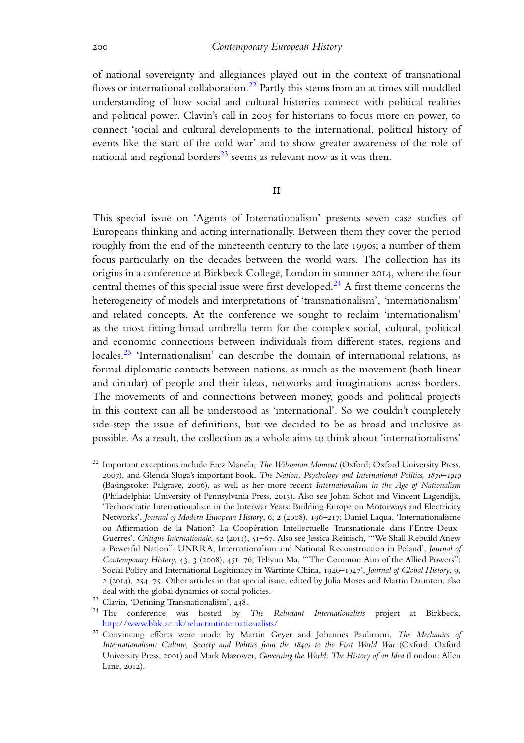of national sovereignty and allegiances played out in the context of transnational flows or international collaboration.<sup>22</sup> Partly this stems from an at times still muddled understanding of how social and cultural histories connect with political realities and political power. Clavin's call in 2005 for historians to focus more on power, to connect 'social and cultural developments to the international, political history of events like the start of the cold war' and to show greater awareness of the role of national and regional borders $^{23}$  seems as relevant now as it was then.

#### **II**

This special issue on 'Agents of Internationalism' presents seven case studies of Europeans thinking and acting internationally. Between them they cover the period roughly from the end of the nineteenth century to the late 1990s; a number of them focus particularly on the decades between the world wars. The collection has its origins in a conference at Birkbeck College, London in summer 2014, where the four central themes of this special issue were first developed.<sup>24</sup> A first theme concerns the heterogeneity of models and interpretations of 'transnationalism', 'internationalism' and related concepts. At the conference we sought to reclaim 'internationalism' as the most fitting broad umbrella term for the complex social, cultural, political and economic connections between individuals from different states, regions and locales.<sup>25</sup> 'Internationalism' can describe the domain of international relations, as formal diplomatic contacts between nations, as much as the movement (both linear and circular) of people and their ideas, networks and imaginations across borders. The movements of and connections between money, goods and political projects in this context can all be understood as 'international'. So we couldn't completely side-step the issue of definitions, but we decided to be as broad and inclusive as possible. As a result, the collection as a whole aims to think about 'internationalisms'

<sup>22</sup> Important exceptions include Erez Manela, *The Wilsonian Moment* (Oxford: Oxford University Press, 2007), and Glenda Sluga's important book, *The Nation, Psychology and International Politics, 1870–1919* (Basingstoke: Palgrave, 2006), as well as her more recent *Internationalism in the Age of Nationalism* (Philadelphia: University of Pennsylvania Press, 2013). Also see Johan Schot and Vincent Lagendijk, 'Technocratic Internationalism in the Interwar Years: Building Europe on Motorways and Electricity Networks', *Journal of Modern European History*, 6, 2 (2008), 196–217; Daniel Laqua, 'Internationalisme ou Affirmation de la Nation? La Coopération Intellectuelle Transnationale dans l'Entre-Deux-Guerres', *Critique Internationale*, 52 (2011), 51–67. Also see Jessica Reinisch, '"We Shall Rebuild Anew a Powerful Nation": UNRRA, Internationalism and National Reconstruction in Poland', *Journal of Contemporary History*, 43, 3 (2008), 451–76; Tehyun Ma, '"The Common Aim of the Allied Powers": Social Policy and International Legitimacy in Wartime China, 1940–1947', *Journal of Global History*, 9, 2 (2014), 254–75. Other articles in that special issue, edited by Julia Moses and Martin Daunton, also deal with the global dynamics of social policies.

<sup>23</sup> Clavin, 'Defining Transnationalism', 438.

<sup>24</sup> The conference was hosted by *The Reluctant Internationalists* project at Birkbeck, <http://www.bbk.ac.uk/reluctantinternationalists/>

<sup>25</sup> Convincing efforts were made by Martin Geyer and Johannes Paulmann, *The Mechanics of Internationalism: Culture, Society and Politics from the 1840s to the First World War* (Oxford: Oxford University Press, 2001) and Mark Mazower, *Governing the World: The History of an Idea* (London: Allen Lane, 2012).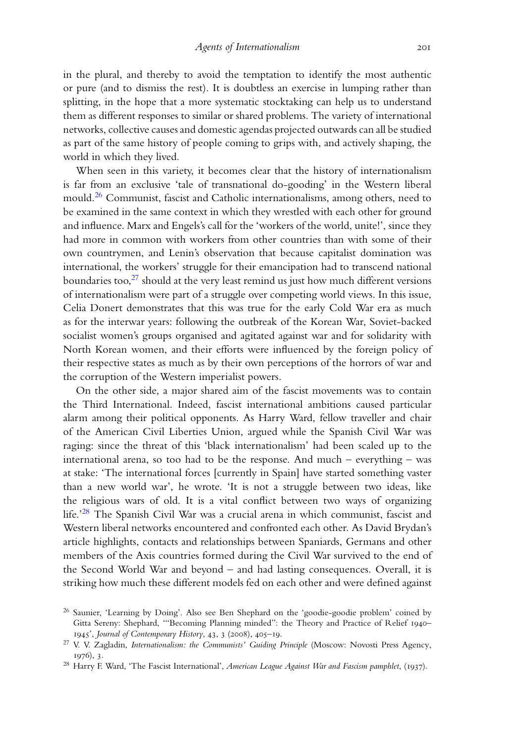in the plural, and thereby to avoid the temptation to identify the most authentic or pure (and to dismiss the rest). It is doubtless an exercise in lumping rather than splitting, in the hope that a more systematic stocktaking can help us to understand them as different responses to similar or shared problems. The variety of international networks, collective causes and domestic agendas projected outwards can all be studied as part of the same history of people coming to grips with, and actively shaping, the world in which they lived.

When seen in this variety, it becomes clear that the history of internationalism is far from an exclusive 'tale of transnational do-gooding' in the Western liberal mould.<sup>26</sup> Communist, fascist and Catholic internationalisms, among others, need to be examined in the same context in which they wrestled with each other for ground and influence. Marx and Engels's call for the 'workers of the world, unite!', since they had more in common with workers from other countries than with some of their own countrymen, and Lenin's observation that because capitalist domination was international, the workers' struggle for their emancipation had to transcend national boundaries too, $2^7$  should at the very least remind us just how much different versions of internationalism were part of a struggle over competing world views. In this issue, Celia Donert demonstrates that this was true for the early Cold War era as much as for the interwar years: following the outbreak of the Korean War, Soviet-backed socialist women's groups organised and agitated against war and for solidarity with North Korean women, and their efforts were influenced by the foreign policy of their respective states as much as by their own perceptions of the horrors of war and the corruption of the Western imperialist powers.

On the other side, a major shared aim of the fascist movements was to contain the Third International. Indeed, fascist international ambitions caused particular alarm among their political opponents. As Harry Ward, fellow traveller and chair of the American Civil Liberties Union, argued while the Spanish Civil War was raging: since the threat of this 'black internationalism' had been scaled up to the international arena, so too had to be the response. And much – everything – was at stake: 'The international forces [currently in Spain] have started something vaster than a new world war', he wrote. 'It is not a struggle between two ideas, like the religious wars of old. It is a vital conflict between two ways of organizing life.'28 The Spanish Civil War was a crucial arena in which communist, fascist and Western liberal networks encountered and confronted each other. As David Brydan's article highlights, contacts and relationships between Spaniards, Germans and other members of the Axis countries formed during the Civil War survived to the end of the Second World War and beyond – and had lasting consequences. Overall, it is striking how much these different models fed on each other and were defined against

<sup>&</sup>lt;sup>26</sup> Saunier, 'Learning by Doing'. Also see Ben Shephard on the 'goodie-goodie problem' coined by Gitta Sereny: Shephard, '"Becoming Planning minded": the Theory and Practice of Relief 1940– 1945', *Journal of Contemporary History*, 43, 3 (2008), 405–19.

<sup>27</sup> V. V. Zagladin, *Internationalism: the Communists' Guiding Principle* (Moscow: Novosti Press Agency, 1976), 3.

<sup>28</sup> Harry F. Ward, 'The Fascist International', *American League Against War and Fascism pamphlet*, (1937).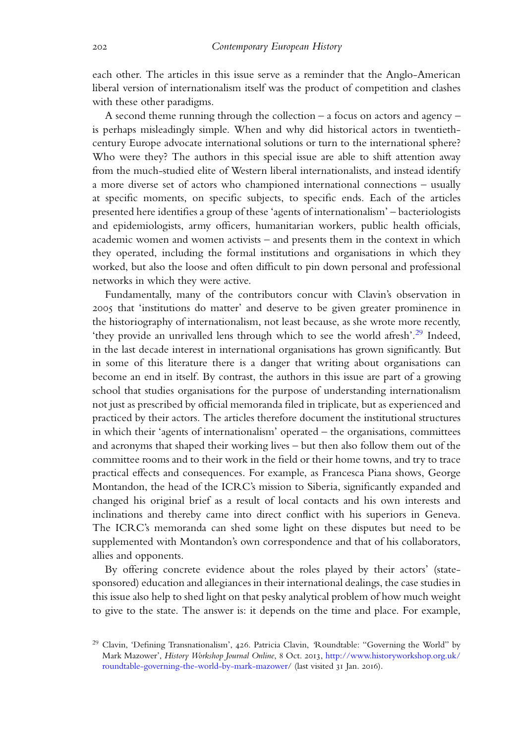each other. The articles in this issue serve as a reminder that the Anglo-American liberal version of internationalism itself was the product of competition and clashes with these other paradigms.

A second theme running through the collection  $-$  a focus on actors and agency  $$ is perhaps misleadingly simple. When and why did historical actors in twentiethcentury Europe advocate international solutions or turn to the international sphere? Who were they? The authors in this special issue are able to shift attention away from the much-studied elite of Western liberal internationalists, and instead identify a more diverse set of actors who championed international connections – usually at specific moments, on specific subjects, to specific ends. Each of the articles presented here identifies a group of these 'agents of internationalism' – bacteriologists and epidemiologists, army officers, humanitarian workers, public health officials, academic women and women activists – and presents them in the context in which they operated, including the formal institutions and organisations in which they worked, but also the loose and often difficult to pin down personal and professional networks in which they were active.

Fundamentally, many of the contributors concur with Clavin's observation in 2005 that 'institutions do matter' and deserve to be given greater prominence in the historiography of internationalism, not least because, as she wrote more recently, 'they provide an unrivalled lens through which to see the world afresh'.<sup>29</sup> Indeed, in the last decade interest in international organisations has grown significantly. But in some of this literature there is a danger that writing about organisations can become an end in itself. By contrast, the authors in this issue are part of a growing school that studies organisations for the purpose of understanding internationalism not just as prescribed by official memoranda filed in triplicate, but as experienced and practiced by their actors. The articles therefore document the institutional structures in which their 'agents of internationalism' operated – the organisations, committees and acronyms that shaped their working lives – but then also follow them out of the committee rooms and to their work in the field or their home towns, and try to trace practical effects and consequences. For example, as Francesca Piana shows, George Montandon, the head of the ICRC's mission to Siberia, significantly expanded and changed his original brief as a result of local contacts and his own interests and inclinations and thereby came into direct conflict with his superiors in Geneva. The ICRC's memoranda can shed some light on these disputes but need to be supplemented with Montandon's own correspondence and that of his collaborators, allies and opponents.

By offering concrete evidence about the roles played by their actors' (statesponsored) education and allegiances in their international dealings, the case studies in this issue also help to shed light on that pesky analytical problem of how much weight to give to the state. The answer is: it depends on the time and place. For example,

<sup>&</sup>lt;sup>29</sup> Clavin, 'Defining Transnationalism', 426. Patricia Clavin, *'Roundtable: "Governing the World" by* Mark Mazower', *History Workshop Journal Online*, 8 Oct. 2013, [http://www.historyworkshop.org.uk/](http://www.historyworkshop.org.uk/roundtable-governing-the-world-by-mark-mazower) [roundtable-governing-the-world-by-mark-mazower/](http://www.historyworkshop.org.uk/roundtable-governing-the-world-by-mark-mazower) (last visited 31 Jan. 2016).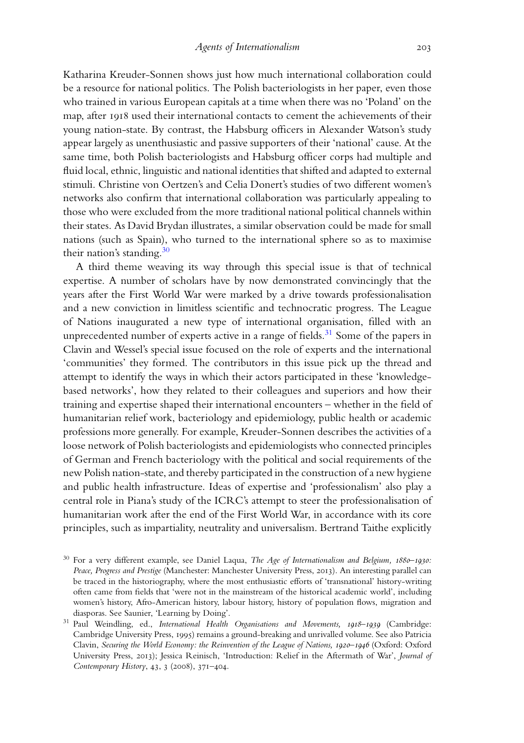Katharina Kreuder-Sonnen shows just how much international collaboration could be a resource for national politics. The Polish bacteriologists in her paper, even those who trained in various European capitals at a time when there was no 'Poland' on the map, after 1918 used their international contacts to cement the achievements of their young nation-state. By contrast, the Habsburg officers in Alexander Watson's study appear largely as unenthusiastic and passive supporters of their 'national' cause. At the same time, both Polish bacteriologists and Habsburg officer corps had multiple and fluid local, ethnic, linguistic and national identities that shifted and adapted to external stimuli. Christine von Oertzen's and Celia Donert's studies of two different women's networks also confirm that international collaboration was particularly appealing to those who were excluded from the more traditional national political channels within their states. As David Brydan illustrates, a similar observation could be made for small nations (such as Spain), who turned to the international sphere so as to maximise their nation's standing. $30$ 

A third theme weaving its way through this special issue is that of technical expertise. A number of scholars have by now demonstrated convincingly that the years after the First World War were marked by a drive towards professionalisation and a new conviction in limitless scientific and technocratic progress. The League of Nations inaugurated a new type of international organisation, filled with an unprecedented number of experts active in a range of fields.<sup>31</sup> Some of the papers in Clavin and Wessel's special issue focused on the role of experts and the international 'communities' they formed. The contributors in this issue pick up the thread and attempt to identify the ways in which their actors participated in these 'knowledgebased networks', how they related to their colleagues and superiors and how their training and expertise shaped their international encounters – whether in the field of humanitarian relief work, bacteriology and epidemiology, public health or academic professions more generally. For example, Kreuder-Sonnen describes the activities of a loose network of Polish bacteriologists and epidemiologists who connected principles of German and French bacteriology with the political and social requirements of the new Polish nation-state, and thereby participated in the construction of a new hygiene and public health infrastructure. Ideas of expertise and 'professionalism' also play a central role in Piana's study of the ICRC's attempt to steer the professionalisation of humanitarian work after the end of the First World War, in accordance with its core principles, such as impartiality, neutrality and universalism. Bertrand Taithe explicitly

<sup>30</sup> For a very different example, see Daniel Laqua, *The Age of Internationalism and Belgium, 1880–1930: Peace, Progress and Prestige* (Manchester: Manchester University Press, 2013). An interesting parallel can be traced in the historiography, where the most enthusiastic efforts of 'transnational' history-writing often came from fields that 'were not in the mainstream of the historical academic world', including women's history, Afro-American history, labour history, history of population flows, migration and diasporas. See Saunier, 'Learning by Doing'.

<sup>31</sup> Paul Weindling, ed., *International Health Organisations and Movements, 1918–1939* (Cambridge: Cambridge University Press, 1995) remains a ground-breaking and unrivalled volume. See also Patricia Clavin, *Securing the World Economy: the Reinvention of the League of Nations, 1920–1946* (Oxford: Oxford University Press, 2013); Jessica Reinisch, 'Introduction: Relief in the Aftermath of War', *Journal of Contemporary History*, 43, 3 (2008), 371–404.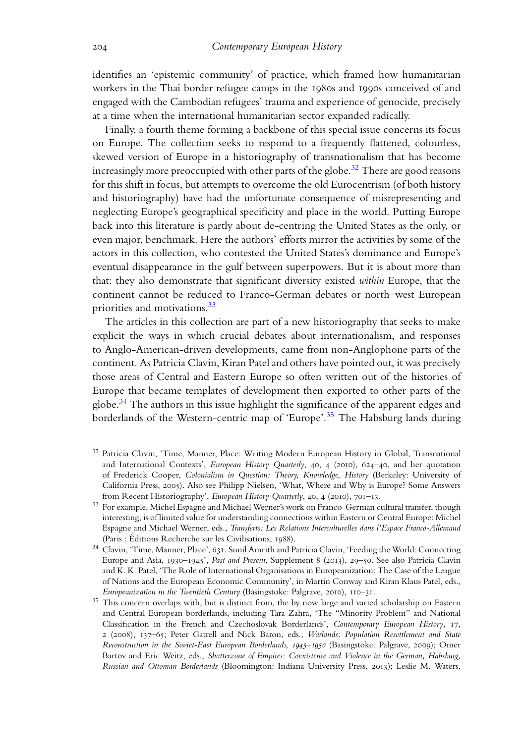identifies an 'epistemic community' of practice, which framed how humanitarian workers in the Thai border refugee camps in the 1980s and 1990s conceived of and engaged with the Cambodian refugees' trauma and experience of genocide, precisely at a time when the international humanitarian sector expanded radically.

Finally, a fourth theme forming a backbone of this special issue concerns its focus on Europe. The collection seeks to respond to a frequently flattened, colourless, skewed version of Europe in a historiography of transnationalism that has become increasingly more preoccupied with other parts of the globe.<sup>32</sup> There are good reasons for this shift in focus, but attempts to overcome the old Eurocentrism (of both history and historiography) have had the unfortunate consequence of misrepresenting and neglecting Europe's geographical specificity and place in the world. Putting Europe back into this literature is partly about de-centring the United States as the only, or even major, benchmark. Here the authors' efforts mirror the activities by some of the actors in this collection, who contested the United States's dominance and Europe's eventual disappearance in the gulf between superpowers. But it is about more than that: they also demonstrate that significant diversity existed *within* Europe, that the continent cannot be reduced to Franco-German debates or north–west European priorities and motivations.<sup>33</sup>

The articles in this collection are part of a new historiography that seeks to make explicit the ways in which crucial debates about internationalism, and responses to Anglo-American-driven developments, came from non-Anglophone parts of the continent. As Patricia Clavin, Kiran Patel and others have pointed out, it was precisely those areas of Central and Eastern Europe so often written out of the histories of Europe that became templates of development then exported to other parts of the globe.<sup>34</sup> The authors in this issue highlight the significance of the apparent edges and borderlands of the Western-centric map of 'Europe'.<sup>35</sup> The Habsburg lands during

- <sup>32</sup> Patricia Clavin, 'Time, Manner, Place: Writing Modern European History in Global, Transnational and International Contexts', *European History Quarterly*, 40, 4 (2010), 624–40, and her quotation of Frederick Cooper, *Colonialism in Question: Theory, Knowledge, History* (Berkeley: University of California Press, 2005). Also see Philipp Nielsen, 'What, Where and Why is Europe? Some Answers from Recent Historiography', *European History Quarterly*, 40, 4 (2010), 701–13.
- <sup>33</sup> For example, Michel Espagne and Michael Werner's work on Franco-German cultural transfer, though interesting, is of limited value for understanding connections within Eastern or Central Europe: Michel Espagne and Michael Werner, eds., *Transferts: Les Relations Interculturelles dans l'Espace Franco-Allemand* (Paris : Éditions Recherche sur les Civilisations, 1988).
- <sup>34</sup> Clavin, 'Time, Manner, Place', 631. Sunil Amrith and Patricia Clavin, 'Feeding the World: Connecting Europe and Asia, 1930–1945', *Past and Present*, Supplement 8 (2013), 29–50. See also Patricia Clavin and K. K. Patel, 'The Role of International Organisations in Europeanization: The Case of the League of Nations and the European Economic Community', in Martin Conway and Kiran Klaus Patel, eds., *Europeanization in the Twentieth Century* (Basingstoke: Palgrave, 2010), 110–31.
- <sup>35</sup> This concern overlaps with, but is distinct from, the by now large and varied scholarship on Eastern and Central European borderlands, including Tara Zahra, 'The "Minority Problem" and National Classification in the French and Czechoslovak Borderlands', *Contemporary European History*, 17, 2 (2008), 137–65; Peter Gatrell and Nick Baron, eds., *Warlands: Population Resettlement and State Reconstruction in the Soviet-East European Borderlands, 1945–1950* (Basingstoke: Palgrave, 2009); Omer Bartov and Eric Weitz, eds., *Shatterzone of Empires: Coexistence and Violence in the German, Habsburg, Russian and Ottoman Borderlands* (Bloomington: Indiana University Press, 2013); Leslie M. Waters,